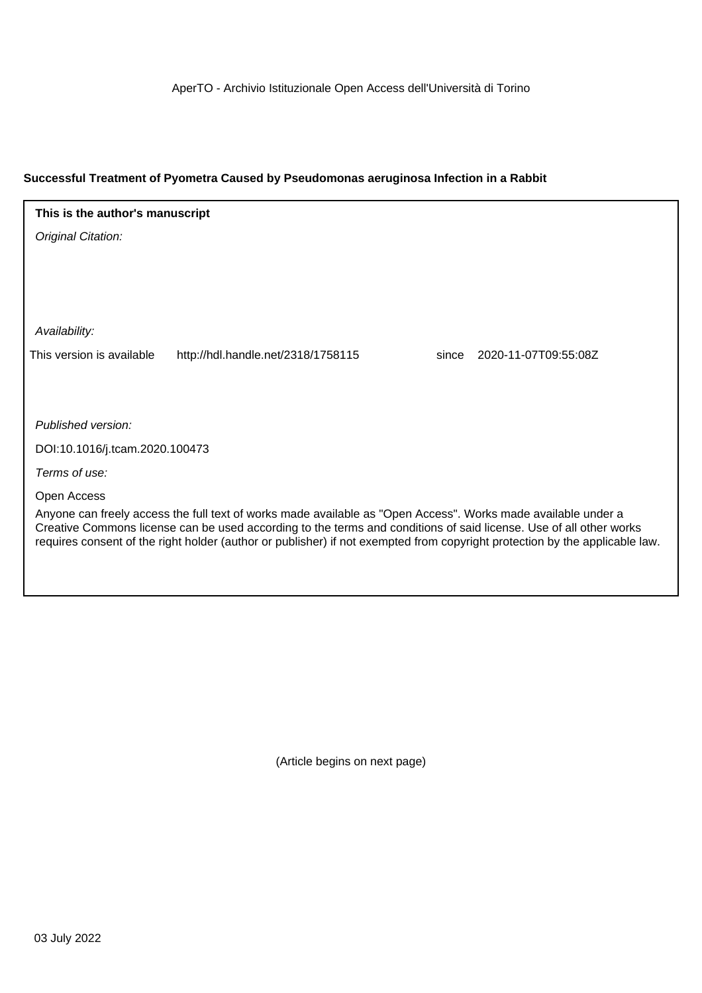#### **Successful Treatment of Pyometra Caused by Pseudomonas aeruginosa Infection in a Rabbit**

## **This is the author's manuscript**

Original Citation:

Availability:

This version is available http://hdl.handle.net/2318/1758115 since 2020-11-07T09:55:08Z

Published version:

DOI:10.1016/j.tcam.2020.100473

Terms of use:

Open Access

Anyone can freely access the full text of works made available as "Open Access". Works made available under a Creative Commons license can be used according to the terms and conditions of said license. Use of all other works requires consent of the right holder (author or publisher) if not exempted from copyright protection by the applicable law.

(Article begins on next page)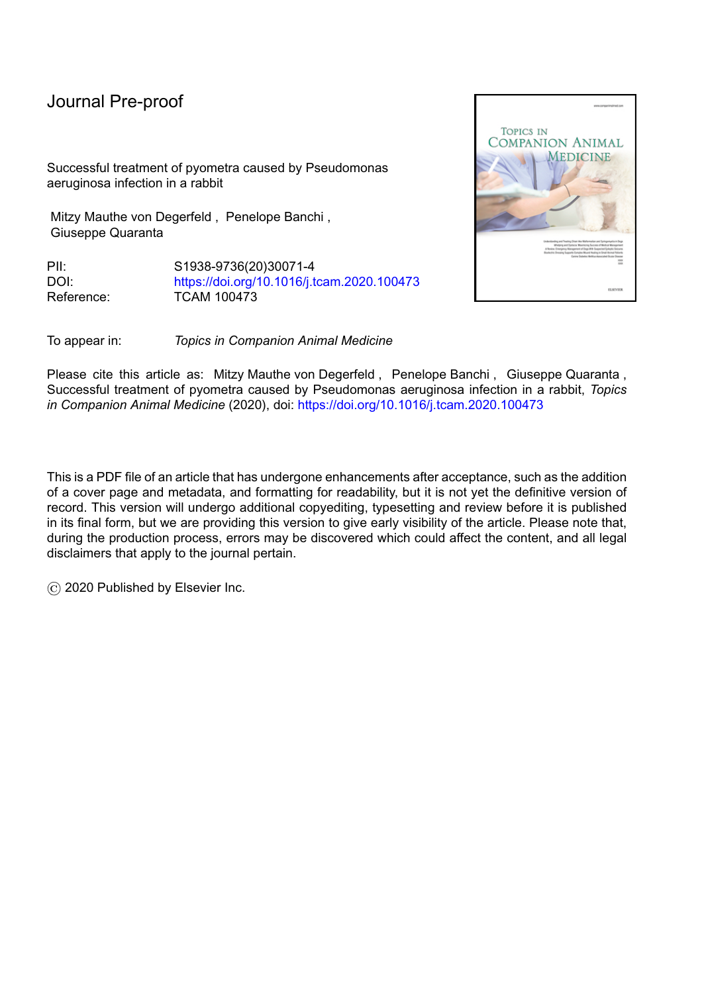# Journal Pre-proof

Successful treatment of pyometra caused by Pseudomonas aeruginosa infection in a rabbit

Mitzy Mauthe von Degerfeld , Penelope Banchi , Giuseppe Quaranta

PII: S1938-9736(20)30071-4 DOI: <https://doi.org/10.1016/j.tcam.2020.100473> Reference: TCAM 100473



To appear in: *Topics in Companion Animal Medicine*

Please cite this article as: Mitzy Mauthe von Degerfeld , Penelope Banchi , Giuseppe Quaranta , Successful treatment of pyometra caused by Pseudomonas aeruginosa infection in a rabbit, *Topics in Companion Animal Medicine* (2020), doi: <https://doi.org/10.1016/j.tcam.2020.100473>

This is a PDF file of an article that has undergone enhancements after acceptance, such as the addition of a cover page and metadata, and formatting for readability, but it is not yet the definitive version of record. This version will undergo additional copyediting, typesetting and review before it is published in its final form, but we are providing this version to give early visibility of the article. Please note that, during the production process, errors may be discovered which could affect the content, and all legal disclaimers that apply to the journal pertain.

© 2020 Published by Elsevier Inc.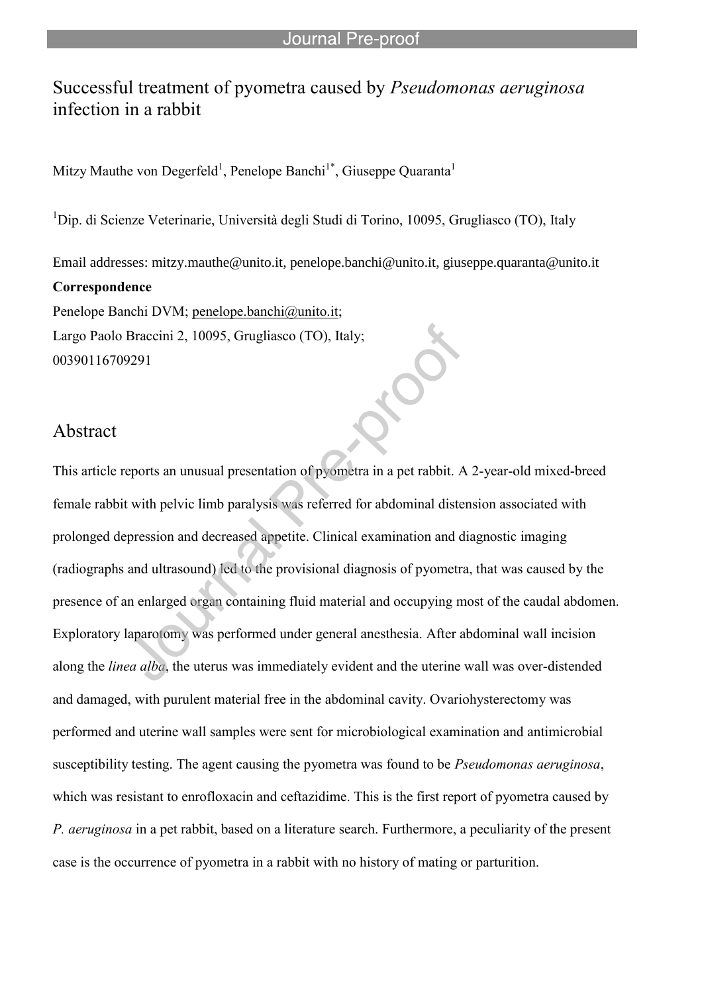# Successful treatment of pyometra caused by *Pseudomonas aeruginosa* infection in a rabbit

Mitzy Mauthe von Degerfeld<sup>1</sup>, Penelope Banchi<sup>1\*</sup>, Giuseppe Quaranta<sup>1</sup>

l

 $1$ Dip. di Scienze Veterinarie, Università degli Studi di Torino, 10095, Grugliasco (TO), Italy

Email addresses: mitzy.mauthe@unito.it, penelope.banchi@unito.it, giuseppe.quaranta@unito.it **Correspondence**  Penelope Banchi DVM; penelope.banchi@unito.it; Largo Paolo Braccini 2, 10095, Grugliasco (TO), Italy;

00390116709291

### Abstract

This article reports an unusual presentation of pyometra in a pet rabbit. A 2-year-old mixed-breed female rabbit with pelvic limb paralysis was referred for abdominal distension associated with prolonged depression and decreased appetite. Clinical examination and diagnostic imaging (radiographs and ultrasound) led to the provisional diagnosis of pyometra, that was caused by the presence of an enlarged organ containing fluid material and occupying most of the caudal abdomen. Exploratory laparotomy was performed under general anesthesia. After abdominal wall incision along the *linea alba*, the uterus was immediately evident and the uterine wall was over-distended and damaged, with purulent material free in the abdominal cavity. Ovariohysterectomy was performed and uterine wall samples were sent for microbiological examination and antimicrobial susceptibility testing. The agent causing the pyometra was found to be *Pseudomonas aeruginosa*, which was resistant to enrofloxacin and ceftazidime. This is the first report of pyometra caused by *P. aeruginosa* in a pet rabbit, based on a literature search. Furthermore, a peculiarity of the present case is the occurrence of pyometra in a rabbit with no history of mating or parturition.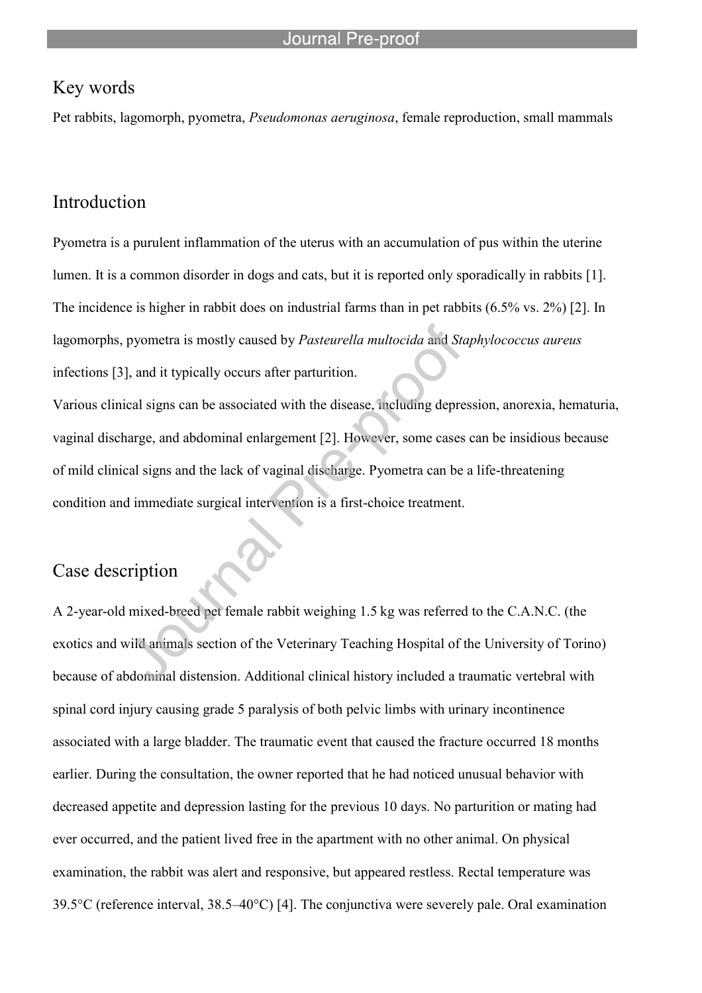## Key words

Pet rabbits, lagomorph, pyometra, *Pseudomonas aeruginosa*, female reproduction, small mammals

l

## Introduction

Pyometra is a purulent inflammation of the uterus with an accumulation of pus within the uterine lumen. It is a common disorder in dogs and cats, but it is reported only sporadically in rabbits [1]. The incidence is higher in rabbit does on industrial farms than in pet rabbits (6.5% vs. 2%) [2]. In lagomorphs, pyometra is mostly caused by *Pasteurella multocida* and *Staphylococcus aureus* infections [3], and it typically occurs after parturition.

Various clinical signs can be associated with the disease, including depression, anorexia, hematuria, vaginal discharge, and abdominal enlargement [2]. However, some cases can be insidious because of mild clinical signs and the lack of vaginal discharge. Pyometra can be a life-threatening condition and immediate surgical intervention is a first-choice treatment.

## Case description

A 2-year-old mixed-breed pet female rabbit weighing 1.5 kg was referred to the C.A.N.C. (the exotics and wild animals section of the Veterinary Teaching Hospital of the University of Torino) because of abdominal distension. Additional clinical history included a traumatic vertebral with spinal cord injury causing grade 5 paralysis of both pelvic limbs with urinary incontinence associated with a large bladder. The traumatic event that caused the fracture occurred 18 months earlier. During the consultation, the owner reported that he had noticed unusual behavior with decreased appetite and depression lasting for the previous 10 days. No parturition or mating had ever occurred, and the patient lived free in the apartment with no other animal. On physical examination, the rabbit was alert and responsive, but appeared restless. Rectal temperature was 39.5°C (reference interval, 38.5–40°C) [4]. The conjunctiva were severely pale. Oral examination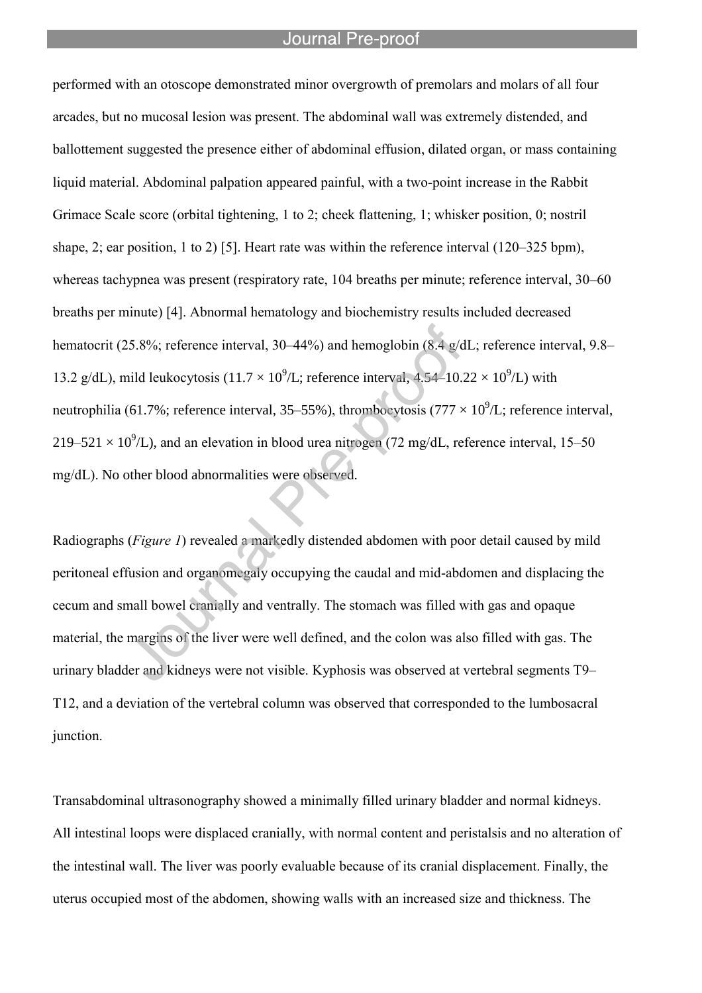#### Journal Pre-proo

l

performed with an otoscope demonstrated minor overgrowth of premolars and molars of all four arcades, but no mucosal lesion was present. The abdominal wall was extremely distended, and ballottement suggested the presence either of abdominal effusion, dilated organ, or mass containing liquid material. Abdominal palpation appeared painful, with a two-point increase in the Rabbit Grimace Scale score (orbital tightening, 1 to 2; cheek flattening, 1; whisker position, 0; nostril shape, 2; ear position, 1 to 2) [5]. Heart rate was within the reference interval (120–325 bpm), whereas tachypnea was present (respiratory rate, 104 breaths per minute; reference interval, 30–60 breaths per minute) [4]. Abnormal hematology and biochemistry results included decreased hematocrit (25.8%; reference interval, 30–44%) and hemoglobin (8.4 g/dL; reference interval, 9.8– 13.2 g/dL), mild leukocytosis (11.7  $\times$  10<sup>9</sup>/L; reference interval, 4.54–10.22  $\times$  10<sup>9</sup>/L) with neutrophilia (61.7%; reference interval, 35–55%), thrombocytosis (777  $\times 10^9$ /L; reference interval,  $219-521 \times 10^9$ /L), and an elevation in blood urea nitrogen (72 mg/dL, reference interval, 15–50 mg/dL). No other blood abnormalities were observed.

Radiographs (*Figure 1*) revealed a markedly distended abdomen with poor detail caused by mild peritoneal effusion and organomegaly occupying the caudal and mid-abdomen and displacing the cecum and small bowel cranially and ventrally. The stomach was filled with gas and opaque material, the margins of the liver were well defined, and the colon was also filled with gas. The urinary bladder and kidneys were not visible. Kyphosis was observed at vertebral segments T9– T12, and a deviation of the vertebral column was observed that corresponded to the lumbosacral junction.

Transabdominal ultrasonography showed a minimally filled urinary bladder and normal kidneys. All intestinal loops were displaced cranially, with normal content and peristalsis and no alteration of the intestinal wall. The liver was poorly evaluable because of its cranial displacement. Finally, the uterus occupied most of the abdomen, showing walls with an increased size and thickness. The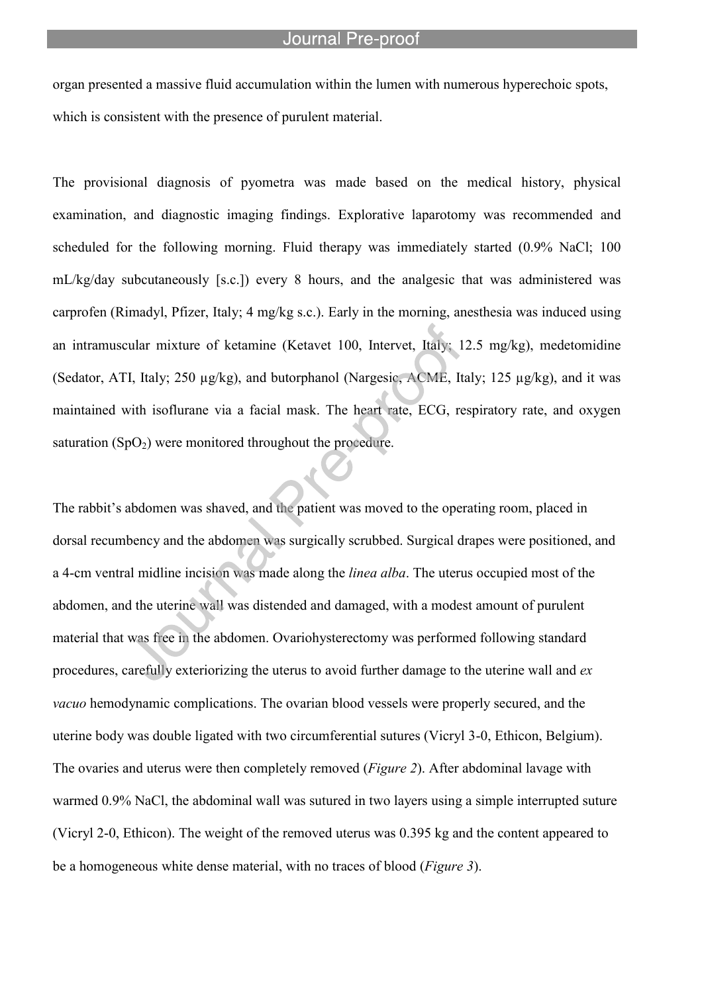organ presented a massive fluid accumulation within the lumen with numerous hyperechoic spots, which is consistent with the presence of purulent material.

l

The provisional diagnosis of pyometra was made based on the medical history, physical examination, and diagnostic imaging findings. Explorative laparotomy was recommended and scheduled for the following morning. Fluid therapy was immediately started (0.9% NaCl; 100 mL/kg/day subcutaneously [s.c.]) every 8 hours, and the analgesic that was administered was carprofen (Rimadyl, Pfizer, Italy; 4 mg/kg s.c.). Early in the morning, anesthesia was induced using an intramuscular mixture of ketamine (Ketavet 100, Intervet, Italy; 12.5 mg/kg), medetomidine (Sedator, ATI, Italy; 250 µg/kg), and butorphanol (Nargesic, ACME, Italy; 125 µg/kg), and it was maintained with isoflurane via a facial mask. The heart rate, ECG, respiratory rate, and oxygen saturation  $(SpO<sub>2</sub>)$  were monitored throughout the procedure.

The rabbit's abdomen was shaved, and the patient was moved to the operating room, placed in dorsal recumbency and the abdomen was surgically scrubbed. Surgical drapes were positioned, and a 4-cm ventral midline incision was made along the *linea alba*. The uterus occupied most of the abdomen, and the uterine wall was distended and damaged, with a modest amount of purulent material that was free in the abdomen. Ovariohysterectomy was performed following standard procedures, carefully exteriorizing the uterus to avoid further damage to the uterine wall and *ex vacuo* hemodynamic complications. The ovarian blood vessels were properly secured, and the uterine body was double ligated with two circumferential sutures (Vicryl 3-0, Ethicon, Belgium). The ovaries and uterus were then completely removed (*Figure 2*). After abdominal lavage with warmed 0.9% NaCl, the abdominal wall was sutured in two layers using a simple interrupted suture (Vicryl 2-0, Ethicon). The weight of the removed uterus was 0.395 kg and the content appeared to be a homogeneous white dense material, with no traces of blood (*Figure 3*).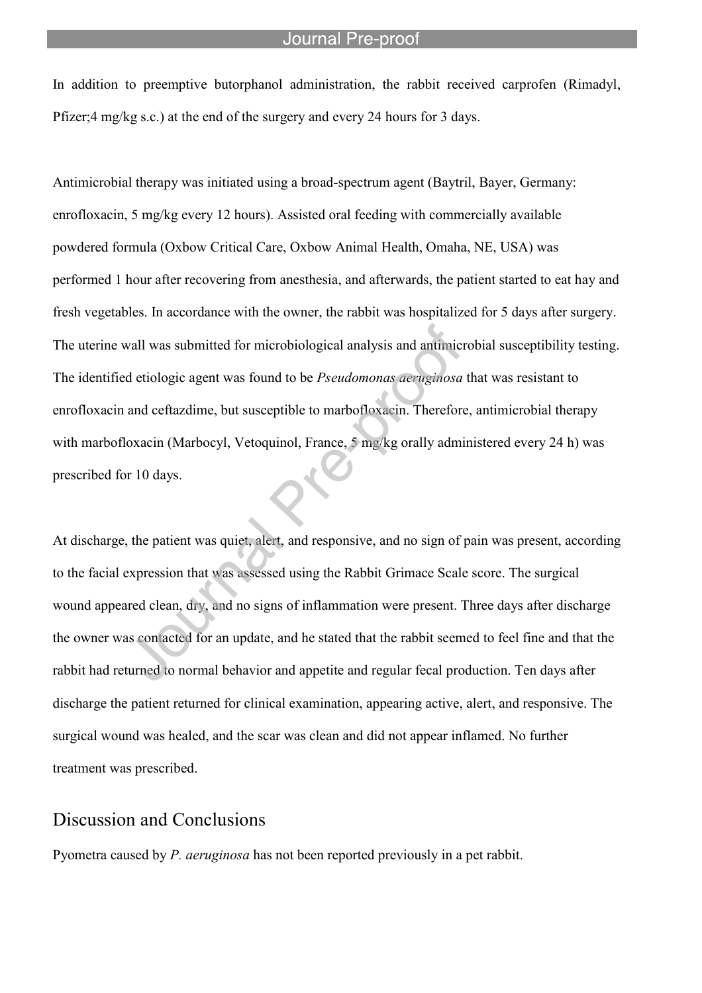#### Journal Pre-proo

In addition to preemptive butorphanol administration, the rabbit received carprofen (Rimadyl, Pfizer;4 mg/kg s.c.) at the end of the surgery and every 24 hours for 3 days.

l

Antimicrobial therapy was initiated using a broad-spectrum agent (Baytril, Bayer, Germany: enrofloxacin, 5 mg/kg every 12 hours). Assisted oral feeding with commercially available powdered formula (Oxbow Critical Care, Oxbow Animal Health, Omaha, NE, USA) was performed 1 hour after recovering from anesthesia, and afterwards, the patient started to eat hay and fresh vegetables. In accordance with the owner, the rabbit was hospitalized for 5 days after surgery. The uterine wall was submitted for microbiological analysis and antimicrobial susceptibility testing. The identified etiologic agent was found to be *Pseudomonas aeruginosa* that was resistant to enrofloxacin and ceftazdime, but susceptible to marbofloxacin. Therefore, antimicrobial therapy with marbofloxacin (Marbocyl, Vetoquinol, France, 5 mg/kg orally administered every 24 h) was prescribed for 10 days.

At discharge, the patient was quiet, alert, and responsive, and no sign of pain was present, according to the facial expression that was assessed using the Rabbit Grimace Scale score. The surgical wound appeared clean, dry, and no signs of inflammation were present. Three days after discharge the owner was contacted for an update, and he stated that the rabbit seemed to feel fine and that the rabbit had returned to normal behavior and appetite and regular fecal production. Ten days after discharge the patient returned for clinical examination, appearing active, alert, and responsive. The surgical wound was healed, and the scar was clean and did not appear inflamed. No further treatment was prescribed.

### Discussion and Conclusions

Pyometra caused by *P. aeruginosa* has not been reported previously in a pet rabbit.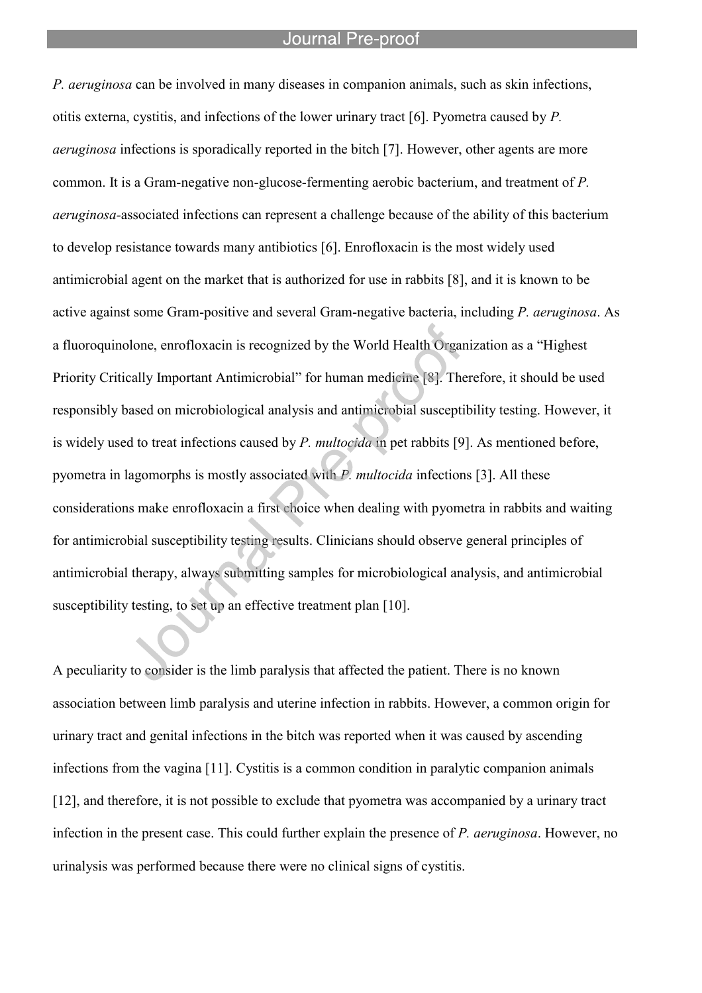#### Journal Pre-proo

l

*P. aeruginosa* can be involved in many diseases in companion animals, such as skin infections, otitis externa, cystitis, and infections of the lower urinary tract [6]. Pyometra caused by *P. aeruginosa* infections is sporadically reported in the bitch [7]. However, other agents are more common. It is a Gram-negative non-glucose-fermenting aerobic bacterium, and treatment of *P. aeruginosa-*associated infections can represent a challenge because of the ability of this bacterium to develop resistance towards many antibiotics [6]. Enrofloxacin is the most widely used antimicrobial agent on the market that is authorized for use in rabbits [8], and it is known to be active against some Gram-positive and several Gram-negative bacteria, including *P. aeruginosa*. As a fluoroquinolone, enrofloxacin is recognized by the World Health Organization as a "Highest Priority Critically Important Antimicrobial" for human medicine [8]. Therefore, it should be used responsibly based on microbiological analysis and antimicrobial susceptibility testing. However, it is widely used to treat infections caused by *P. multocida* in pet rabbits [9]. As mentioned before, pyometra in lagomorphs is mostly associated with *P. multocida* infections [3]. All these considerations make enrofloxacin a first choice when dealing with pyometra in rabbits and waiting for antimicrobial susceptibility testing results. Clinicians should observe general principles of antimicrobial therapy, always submitting samples for microbiological analysis, and antimicrobial susceptibility testing, to set up an effective treatment plan [10].

A peculiarity to consider is the limb paralysis that affected the patient. There is no known association between limb paralysis and uterine infection in rabbits. However, a common origin for urinary tract and genital infections in the bitch was reported when it was caused by ascending infections from the vagina [11]. Cystitis is a common condition in paralytic companion animals [12], and therefore, it is not possible to exclude that pyometra was accompanied by a urinary tract infection in the present case. This could further explain the presence of *P. aeruginosa*. However, no urinalysis was performed because there were no clinical signs of cystitis.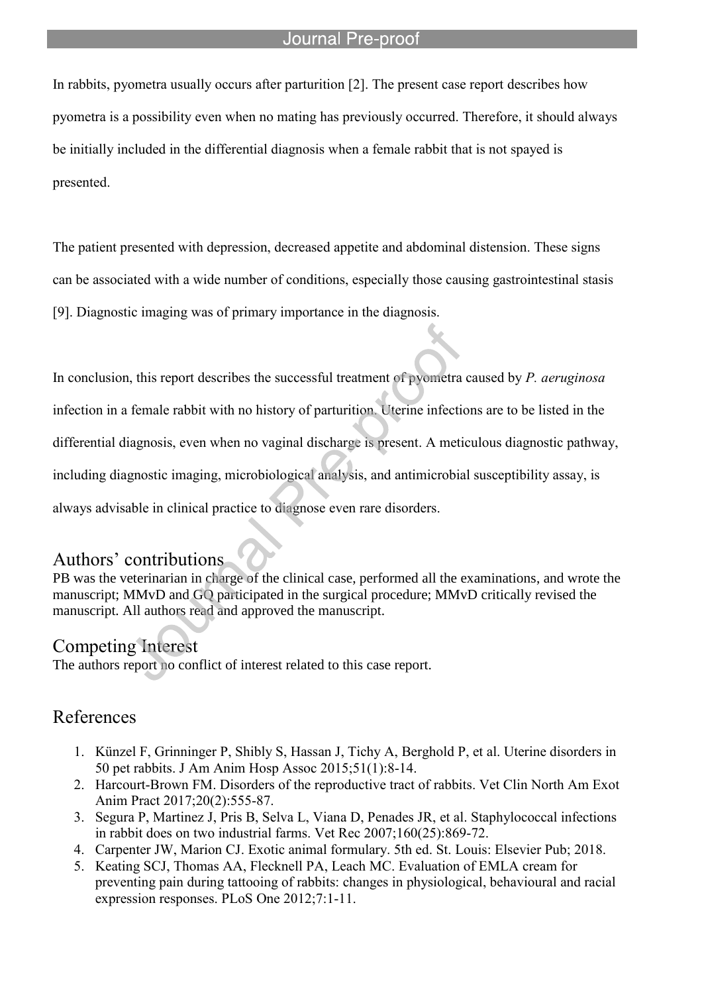### Journal Pre-proof

In rabbits, pyometra usually occurs after parturition [2]. The present case report describes how pyometra is a possibility even when no mating has previously occurred. Therefore, it should always be initially included in the differential diagnosis when a female rabbit that is not spayed is presented.

l

The patient presented with depression, decreased appetite and abdominal distension. These signs can be associated with a wide number of conditions, especially those causing gastrointestinal stasis [9]. Diagnostic imaging was of primary importance in the diagnosis.

In conclusion, this report describes the successful treatment of pyometra caused by *P. aeruginosa* infection in a female rabbit with no history of parturition. Uterine infections are to be listed in the differential diagnosis, even when no vaginal discharge is present. A meticulous diagnostic pathway, including diagnostic imaging, microbiological analysis, and antimicrobial susceptibility assay, is always advisable in clinical practice to diagnose even rare disorders.

### Authors' contributions

PB was the veterinarian in charge of the clinical case, performed all the examinations, and wrote the manuscript; MMvD and GQ participated in the surgical procedure; MMvD critically revised the manuscript. All authors read and approved the manuscript.

### Competing Interest

The authors report no conflict of interest related to this case report.

## References

- 1. Künzel F, Grinninger P, Shibly S, Hassan J, Tichy A, Berghold P, et al. Uterine disorders in 50 pet rabbits. J Am Anim Hosp Assoc 2015;51(1):8-14.
- 2. Harcourt-Brown FM. Disorders of the reproductive tract of rabbits. Vet Clin North Am Exot Anim Pract 2017;20(2):555-87.
- 3. Segura P, Martinez J, Pris B, Selva L, Viana D, Penades JR, et al. Staphylococcal infections in rabbit does on two industrial farms. Vet Rec 2007;160(25):869-72.
- 4. Carpenter JW, Marion CJ. Exotic animal formulary. 5th ed. St. Louis: Elsevier Pub; 2018.
- 5. Keating SCJ, Thomas AA, Flecknell PA, Leach MC. Evaluation of EMLA cream for preventing pain during tattooing of rabbits: changes in physiological, behavioural and racial expression responses. PLoS One 2012;7:1-11.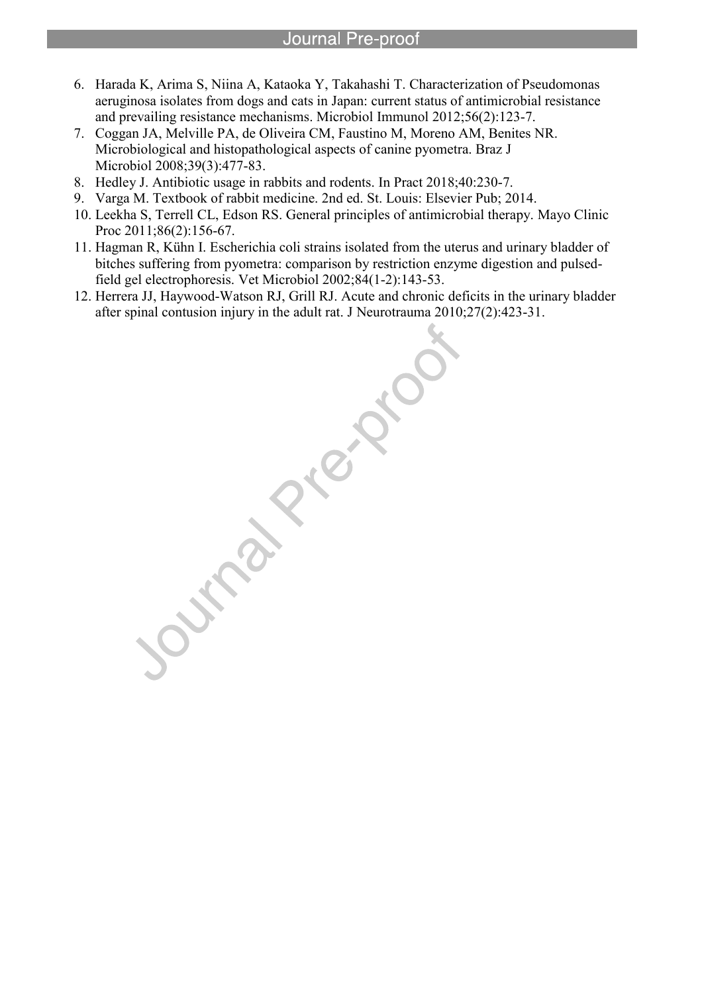- 6. Harada K, Arima S, Niina A, Kataoka Y, Takahashi T. Characterization of Pseudomonas aeruginosa isolates from dogs and cats in Japan: current status of antimicrobial resistance and prevailing resistance mechanisms. Microbiol Immunol 2012;56(2):123-7.
- 7. Coggan JA, Melville PA, de Oliveira CM, Faustino M, Moreno AM, Benites NR. Microbiological and histopathological aspects of canine pyometra. Braz J Microbiol 2008;39(3):477-83.
- 8. Hedley J. Antibiotic usage in rabbits and rodents. In Pract 2018;40:230-7.

l

- 9. Varga M. Textbook of rabbit medicine. 2nd ed. St. Louis: Elsevier Pub; 2014.
- 10. Leekha S, Terrell CL, Edson RS. General principles of antimicrobial therapy. Mayo Clinic Proc 2011;86(2):156-67.
- 11. Hagman R, Kühn I. Escherichia coli strains isolated from the uterus and urinary bladder of bitches suffering from pyometra: comparison by restriction enzyme digestion and pulsedfield gel electrophoresis. Vet Microbiol 2002;84(1-2):143-53.
- 12. Herrera JJ, Haywood-Watson RJ, Grill RJ. Acute and chronic deficits in the urinary bladder after spinal contusion injury in the adult rat. J Neurotrauma 2010;27(2):423-31.

inde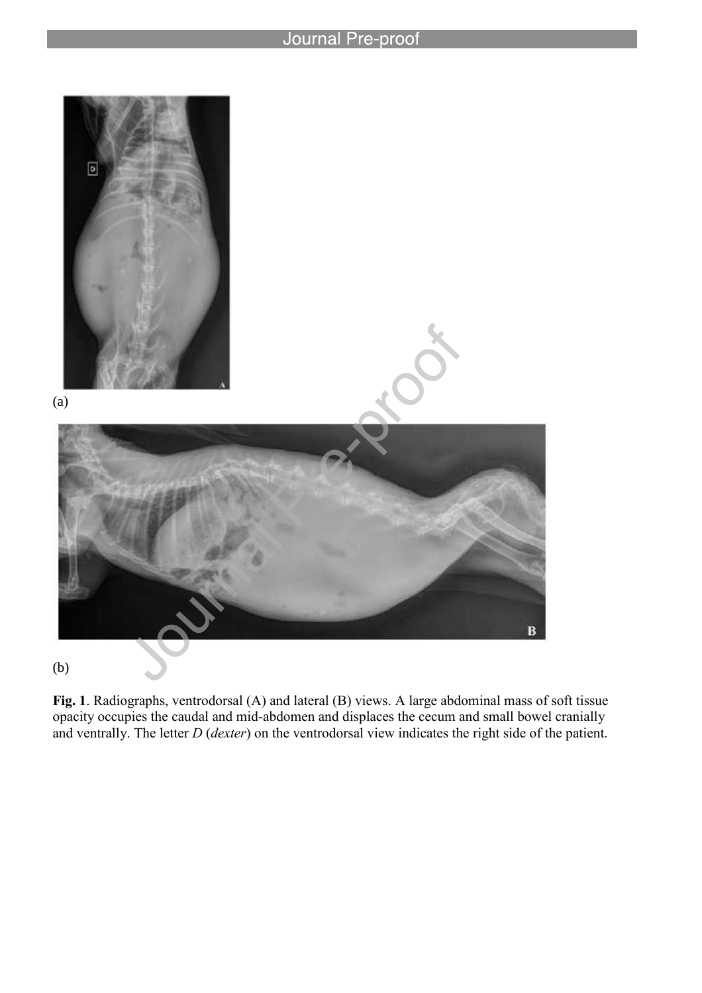l



**Fig. 1**. Radiographs, ventrodorsal (A) and lateral (B) views. A large abdominal mass of soft tissue opacity occupies the caudal and mid-abdomen and displaces the cecum and small bowel cranially and ventrally. The letter *D* (*dexter*) on the ventrodorsal view indicates the right side of the patient.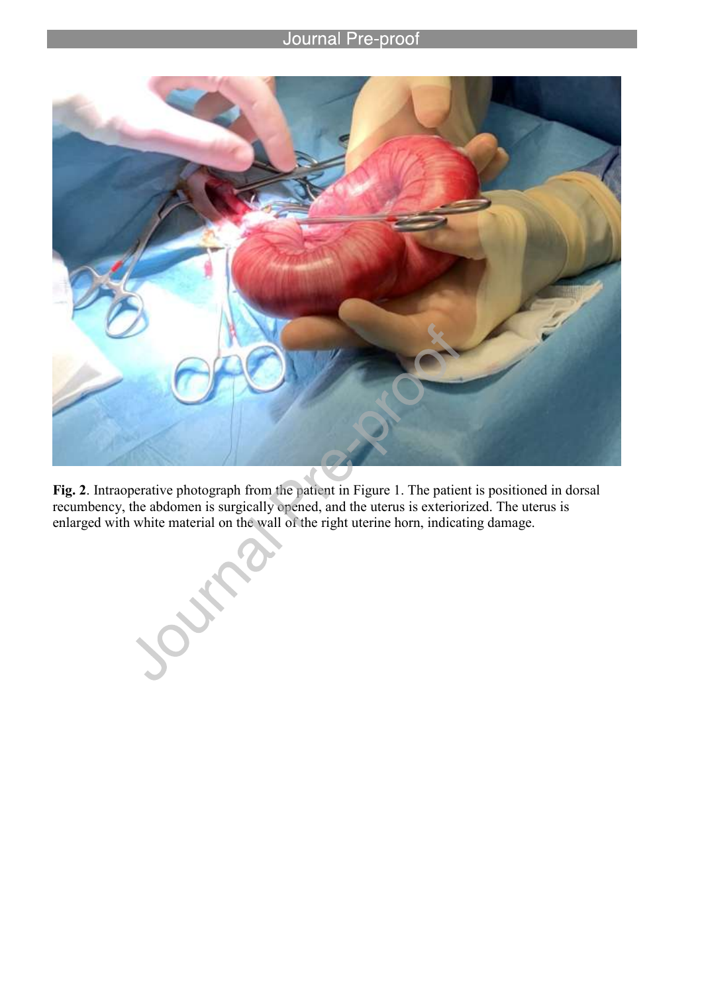### **Journal Pre-proof**

l



**Fig. 2**. Intraoperative photograph from the patient in Figure 1. The patient is positioned in dorsal recumbency, the abdomen is surgically opened, and the uterus is exteriorized. The uterus is enlarged with white material on the wall of the right uterine horn, indicating damage.